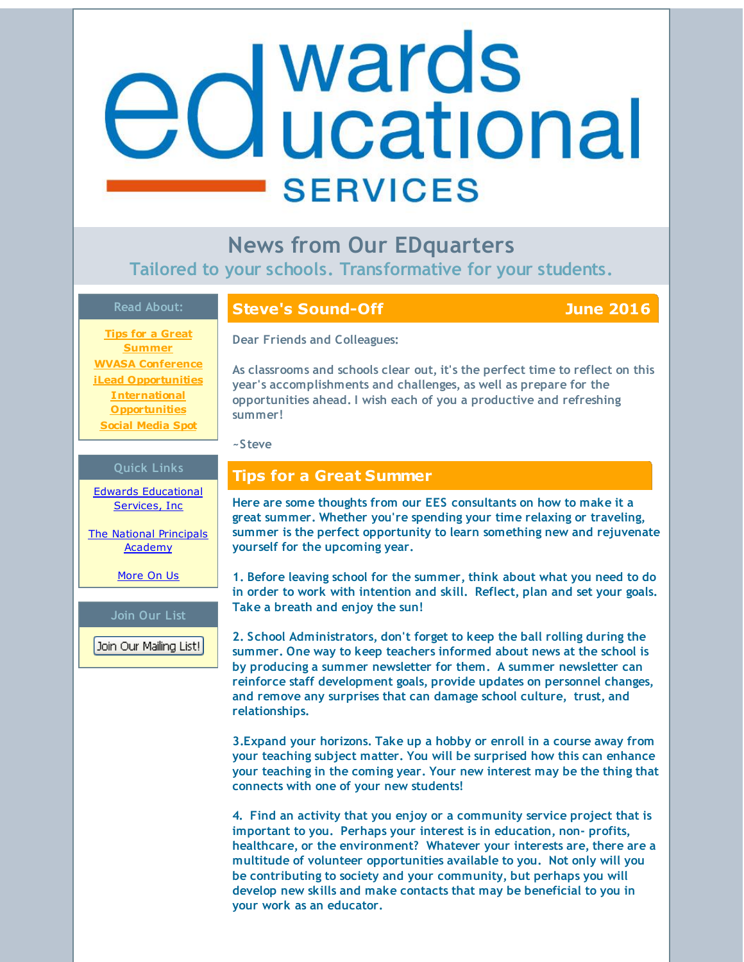# <span id="page-0-0"></span>**d** wards<br>**d** ucational **SERVICES**

**News from Our EDquarters Tailored to your schools. Transformative for your students.**

### **Read About:**

**Steve's Sound-Off June 2016**

**Tips for a Great [Summer](#page-0-0) WVASA [Conference](#page-0-0) iLead [Opportunities](#page-0-0) International [Opportunities](#page-0-0) Social [Media](#page-0-0) Spot**

# **Dear Friends and Colleagues:**

**As classrooms and schools clear out, it's the perfect time to reflect on this year's accomplishments and challenges, as well as prepare for the opportunities ahead. I wish each of you a productive and refreshing summer!**

**~Steve**

### **Tips for a Great Summer**

**Here are some thoughts from our EES consultants on how to make it a great summer. Whether you're spending your time relaxing or traveling, summer is the perfect opportunity to learn something new and rejuvenate yourself for the upcoming year.**

**1. Before leaving school for the summer, think about what you need to do in order to work with intention and skill. Reflect, plan and set your goals. Take a breath and enjoy the sun!**

**2. School Administrators, don't forget to keep the ball rolling during the summer. One way to keep teachers informed about news at the school is by producing a summer newsletter for them. A summer newsletter can reinforce staff development goals, provide updates on personnel changes, and remove any surprises that can damage school culture, trust, and relationships.**

**3.Expand your horizons. Take up a hobby or enroll in a course away from your teaching subject matter. You will be surprised how this can enhance your teaching in the coming year. Your new interest may be the thing that connects with one of your new students!**

**4. Find an activity that you enjoy or a community service project that is important to you. Perhaps your interest is in education, non- profits, healthcare, or the environment? Whatever your interests are, there are a multitude of volunteer opportunities available to you. Not only will you be contributing to society and your community, but perhaps you will develop new skills and make contacts that may be beneficial to you in your work as an educator.**

# **Quick Links**

Edwards [Educational](http://r20.rs6.net/tn.jsp?f=001-GxOc-kxcqx7jkpm39RPE1TRbravCOb_tMB70XvcMTg7ZpyJgs15lQUhZwWmcNbYPqxZAD5b_aN_JNUVjlRSEU0t2xoga1h5D2oLxuebfZkIGe0z1qujaqxKVGpKuCZJ5ucgpbKon1pH4XEoVYps-yXEjaFW2MhePgm2EQLXqIRSCv9HOKpkNQ==&c=&ch=) Services, Inc

The National [Principals](http://r20.rs6.net/tn.jsp?f=001-GxOc-kxcqx7jkpm39RPE1TRbravCOb_tMB70XvcMTg7ZpyJgs15lT3xl1k8dhwtCth2ZzBMpYcOrtSPsQlw5O2bQKPp_6yYvao606-VOC-9tYqjZ8hmPmaijVUZOc_Jaw1gxZa1q87Z3eFM2ialcrPxGnpNOkZUgVGGzKSjEblZb4sn5lfSqcQpW3XpJGqm&c=&ch=) **Academy** 

[More](http://r20.rs6.net/tn.jsp?f=001-GxOc-kxcqx7jkpm39RPE1TRbravCOb_tMB70XvcMTg7ZpyJgs15lYa7m_OgL3zVtaNGEBoiWkL2zcxklP5o_OZ3BLE5HkM086_LnhddwKI2WHRsCOEvecv4ADANOpGEsqB0CFmHu3QfgMlUXRsndwZnRdeXnBtyUN3Hm_3Nb6VTV_-FJIUkNNgzGVrEO4qv&c=&ch=) On Us

### **Join Our List**

Join Our Mailing List!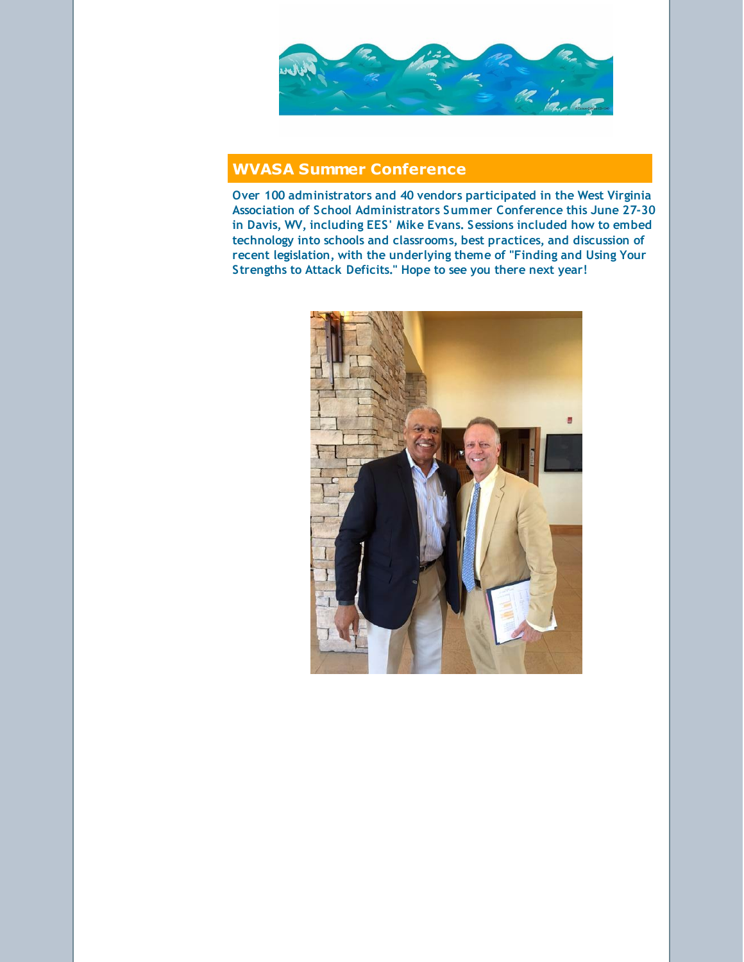

# **WVASA Summer Conference**

**Over 100 administrators and 40 vendors participated in the West Virginia Association of School Administrators Summer Conference this June 27-30 in Davis, WV, including EES' Mike Evans. Sessions included how to embed technology into schools and classrooms, best practices, and discussion of recent legislation, with the underlying theme of "Finding and Using Your Strengths to Attack Deficits." Hope to see you there next year!**

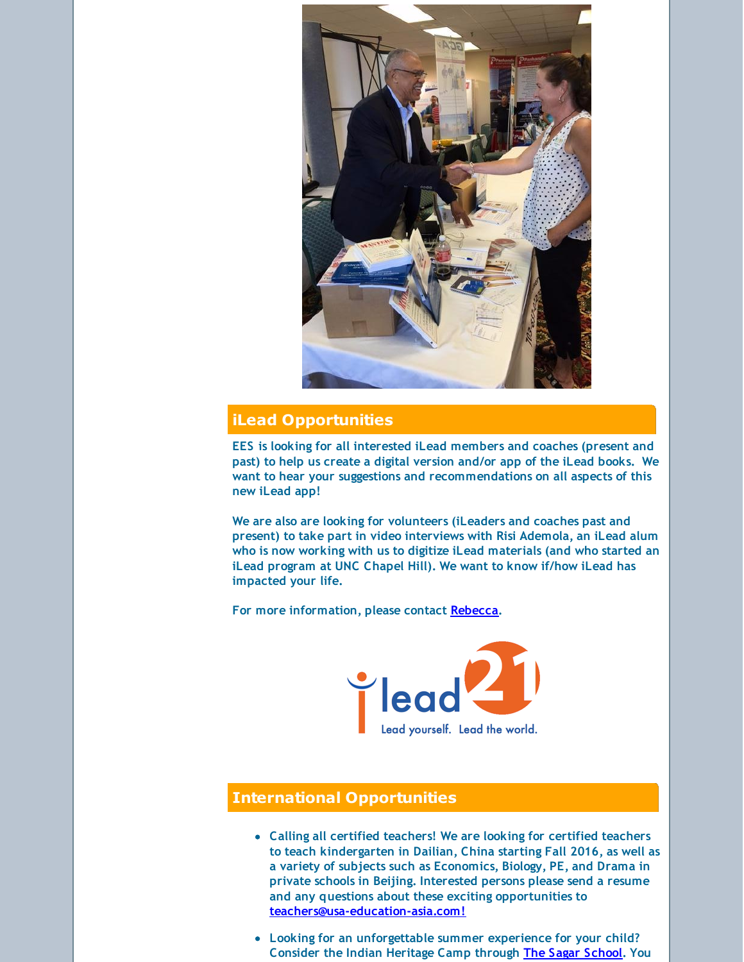

### **iLead Opportunities**

**EES is looking for all interested iLead members and coaches (present and past) to help us create a digital version and/or app of the iLead books. We want to hear your suggestions and recommendations on all aspects of this new iLead app!**

**We are also are looking for volunteers (iLeaders and coaches past and present) to take part in video interviews with Risi Ademola, an iLead alum who is now working with us to digitize iLead materials (and who started an iLead program at UNC Chapel Hill). We want to know if/how iLead has impacted your life.**

**For more information, please contact [Rebecca](mailto:rebecca@edwardsedservices.com).**



## **International Opportunities**

- **Calling all certified teachers! We are looking for certified teachers to teach kindergarten in Dailian, China starting Fall 2016, as well as a variety of subjects such as Economics, Biology, PE, and Drama in private schools in Beijing. Interested persons please send a resume and any questions about these exciting opportunities to [teachers@usa-education-asia.com!](mailto:teachers@usa-education-asia.com)**
- **Looking for an unforgettable summer experience for your child? Consider the Indian Heritage Camp through The Sagar [School](http://r20.rs6.net/tn.jsp?f=001-GxOc-kxcqx7jkpm39RPE1TRbravCOb_tMB70XvcMTg7ZpyJgs15lR_mIRoZ9CkpUCuZGjTx04OdBGS_yoJ1MdmNnYYqEOs21_GbM_DAFsDLMhDIrQCEeMUszeIUVPYLgik9zMGGGgFq9G02LFs30UFUwki5DOmx_A1jluXiMfyiKzzLS00iOw==&c=&ch=). You**